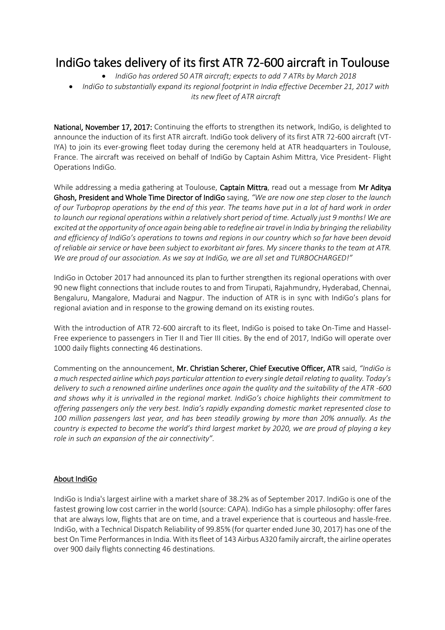## IndiGo takes delivery of its first ATR 72-600 aircraft in Toulouse

- *IndiGo has ordered 50 ATR aircraft; expects to add 7 ATRs by March 2018*
- *IndiGo to substantially expand its regional footprint in India effective December 21, 2017 with its new fleet of ATR aircraft*

National, November 17, 2017: Continuing the efforts to strengthen its network, IndiGo, is delighted to announce the induction of its first ATR aircraft. IndiGo took delivery of its first ATR 72-600 aircraft (VT-IYA) to join its ever-growing fleet today during the ceremony held at ATR headquarters in Toulouse, France. The aircraft was received on behalf of IndiGo by Captain Ashim Mittra, Vice President- Flight Operations IndiGo.

While addressing a media gathering at Toulouse, Captain Mittra, read out a message from Mr Aditya Ghosh, President and Whole Time Director of IndiGo saying, *"We are now one step closer to the launch of our Turboprop operations by the end of this year. The teams have put in a lot of hard work in order to launch our regional operations within a relatively short period of time. Actually just 9 months! We are excited at the opportunity of once again being able to redefine air travel in India by bringing the reliability and efficiency of IndiGo's operations to towns and regions in our country which so far have been devoid of reliable air service or have been subject to exorbitant air fares. My sincere thanks to the team at ATR. We are proud of our association. As we say at IndiGo, we are all set and TURBOCHARGED!"*

IndiGo in October 2017 had announced its plan to further strengthen its regional operations with over 90 new flight connections that include routes to and from Tirupati, Rajahmundry, Hyderabad, Chennai, Bengaluru, Mangalore, Madurai and Nagpur. The induction of ATR is in sync with IndiGo's plans for regional aviation and in response to the growing demand on its existing routes.

With the introduction of ATR 72-600 aircraft to its fleet, IndiGo is poised to take On-Time and Hassel-Free experience to passengers in Tier II and Tier III cities. By the end of 2017, IndiGo will operate over 1000 daily flights connecting 46 destinations.

Commenting on the announcement, Mr. Christian Scherer, Chief Executive Officer, ATR said, *"IndiGo is a much respected airline which pays particular attention to every single detail relating to quality. Today's delivery to such a renowned airline underlines once again the quality and the suitability of the ATR -600 and shows why it is unrivalled in the regional market. IndiGo's choice highlights their commitment to offering passengers only the very best. India's rapidly expanding domestic market represented close to 100 million passengers last year, and has been steadily growing by more than 20% annually. As the country is expected to become the world's third largest market by 2020, we are proud of playing a key role in such an expansion of the air connectivity".* 

## About IndiGo

IndiGo is India's largest airline with a market share of 38.2% as of September 2017. IndiGo is one of the fastest growing low cost carrier in the world (source: CAPA). IndiGo has a simple philosophy: offer fares that are always low, flights that are on time, and a travel experience that is courteous and hassle-free. IndiGo, with a Technical Dispatch Reliability of 99.85% (for quarter ended June 30, 2017) has one of the best On Time Performances in India. With its fleet of 143 Airbus A320 family aircraft, the airline operates over 900 daily flights connecting 46 destinations.